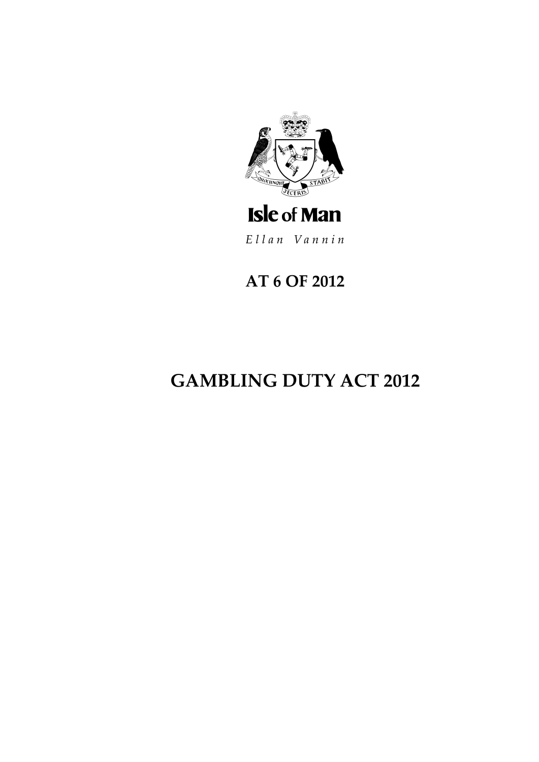

# **Isle of Man**

Ellan Vannin

# **AT 6 OF 2012**

# **GAMBLING DUTY ACT 2012**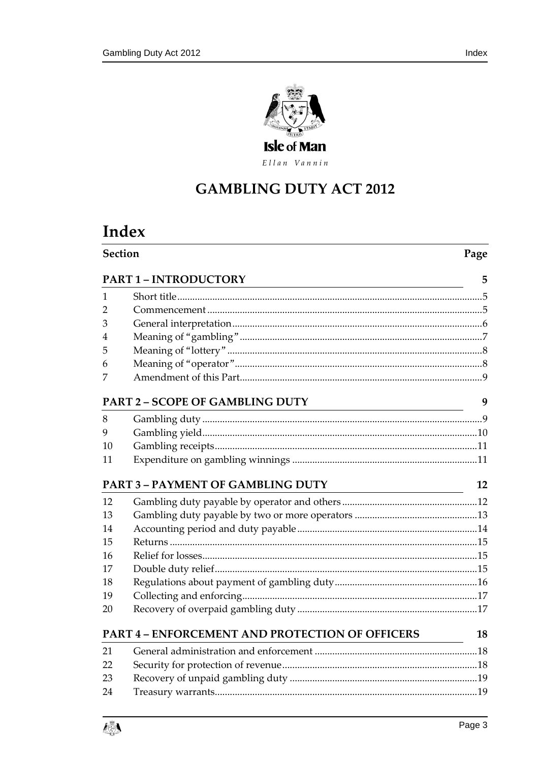

Ellan Vannin

# **GAMBLING DUTY ACT 2012**

# Index

| <b>Section</b>                                        |                                   |    |
|-------------------------------------------------------|-----------------------------------|----|
|                                                       | PART 1 - INTRODUCTORY             | 5  |
| 1                                                     |                                   |    |
| 2                                                     |                                   |    |
| 3                                                     |                                   |    |
| 4                                                     |                                   |    |
| 5                                                     |                                   |    |
| 6                                                     |                                   |    |
| 7                                                     |                                   |    |
| PART 2 - SCOPE OF GAMBLING DUTY                       |                                   |    |
| 8                                                     |                                   |    |
| 9                                                     |                                   |    |
| 10                                                    |                                   |    |
| 11                                                    |                                   |    |
|                                                       | PART 3 - PAYMENT OF GAMBLING DUTY | 12 |
| 12                                                    |                                   |    |
| 13                                                    |                                   |    |
| 14                                                    |                                   |    |
| 15                                                    |                                   |    |
| 16                                                    |                                   |    |
| 17                                                    |                                   |    |
| 18                                                    |                                   |    |
| 19                                                    |                                   |    |
| 20                                                    |                                   |    |
| PART 4 - ENFORCEMENT AND PROTECTION OF OFFICERS<br>18 |                                   |    |
| 21                                                    |                                   |    |
| 22                                                    |                                   |    |
| 23                                                    |                                   |    |
| 24                                                    |                                   |    |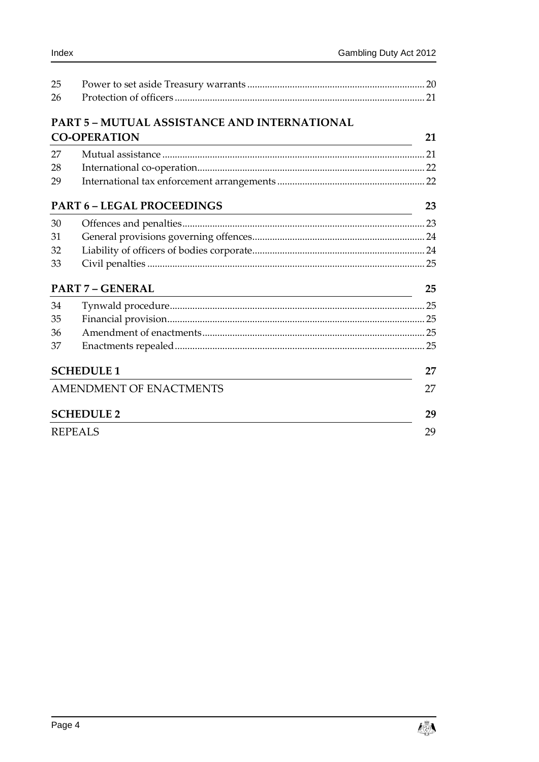| 25<br>26 |                                                     |    |
|----------|-----------------------------------------------------|----|
|          | <b>PART 5 - MUTUAL ASSISTANCE AND INTERNATIONAL</b> |    |
|          | <b>CO-OPERATION</b>                                 | 21 |
| 27       |                                                     |    |
| 28       |                                                     |    |
| 29       |                                                     |    |
|          | <b>PART 6 - LEGAL PROCEEDINGS</b>                   | 23 |
| 30       |                                                     |    |
| 31       |                                                     |    |
| 32       |                                                     |    |
| 33       |                                                     |    |
|          | <b>PART 7 - GENERAL</b>                             | 25 |
| 34       |                                                     |    |
| 35       |                                                     |    |
| 36       |                                                     |    |
| 37       |                                                     |    |
|          | <b>SCHEDULE 1</b>                                   | 27 |
|          | AMENDMENT OF ENACTMENTS                             |    |
|          | <b>SCHEDULE 2</b>                                   | 29 |
|          | <b>REPEALS</b>                                      |    |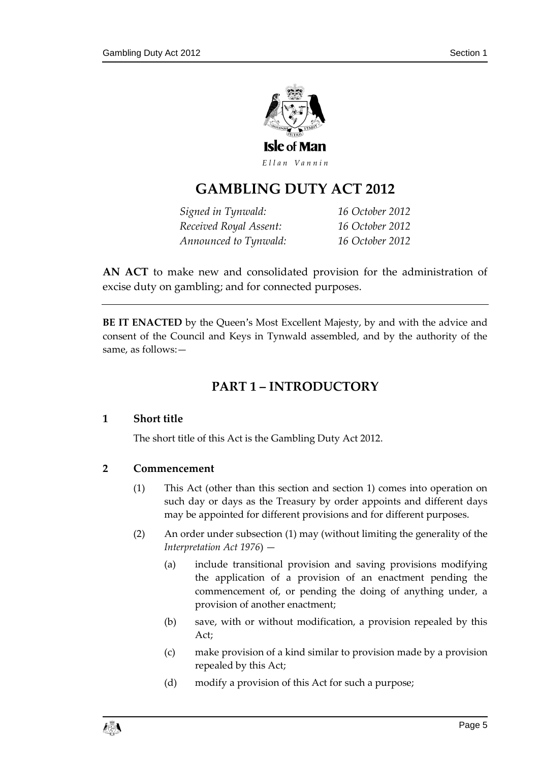

# **GAMBLING DUTY ACT 20 12**

*Signed in Tynwald: 16 October 2012 Received Royal Assent: 16 October 2012 Announced to Tynwald: 16 October 2012* 

**AN ACT** to make new and consolidated provision for the administration of excise duty on gambling; and for connected purposes.

<span id="page-4-0"></span>**BE IT ENACTED** by the Queen's Most Excellent Majesty, by and with the advice and consent of the Council and Keys in Tynwald assembled, and by the authority of the same, as follows:—

# **PART 1 – INTRODUCTORY**

#### <span id="page-4-1"></span>**1 Short title**

The short title of this Act is the Gambling Duty Act 2012.

#### <span id="page-4-3"></span><span id="page-4-2"></span>**2 Commencement**

- (1) This Act (other than this section and section 1) comes into operation on such day or days as the Treasury by order appoints and different days may be appointed for different provisions and for different purposes.
- <span id="page-4-4"></span>(2) An order under subsection [\(1\)](#page-4-3) may (without limiting the generality of the *Interpretation Act 1976*) —
	- (a) include transitional provision and saving provisions modifying the application of a provision of an enactment pending the commencement of, or pending the doing of anything under, a provision of another enactment;
	- (b) save, with or without modification, a provision repealed by this Act;
	- (c) make provision of a kind similar to provision made by a provision repealed by this Act;
	- (d) modify a provision of this Act for such a purpose;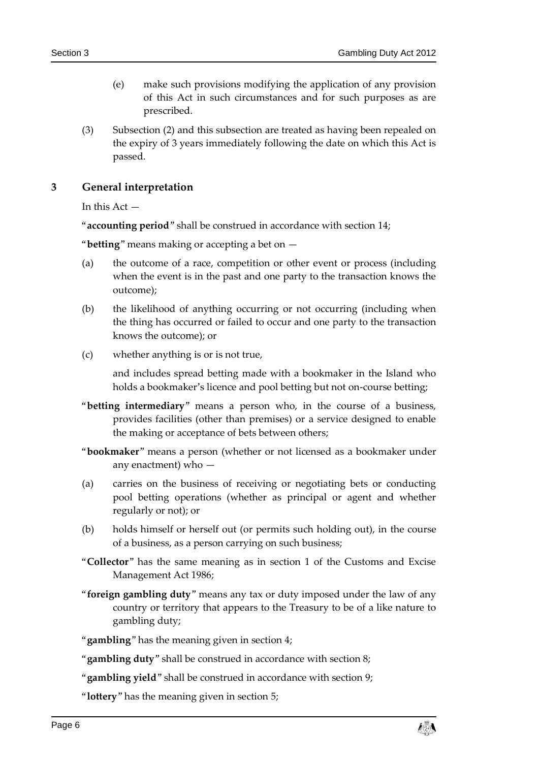- (e) make such provisions modifying the application of any provision of this Act in such circumstances and for such purposes as are prescribed.
- (3) Subsection [\(2\)](#page-4-4) and this subsection are treated as having been repealed on the expiry of 3 years immediately following the date on which this Act is passed.

<span id="page-5-0"></span>**3 General interpretation**

In this  $Act -$ 

"**accounting period**" shall be construed in accordance with section [14;](#page-13-0)

"**betting**" means making or accepting a bet on —

- (a) the outcome of a race, competition or other event or process (including when the event is in the past and one party to the transaction knows the outcome);
- (b) the likelihood of anything occurring or not occurring (including when the thing has occurred or failed to occur and one party to the transaction knows the outcome); or
- (c) whether anything is or is not true,

and includes spread betting made with a bookmaker in the Island who holds a bookmaker's licence and pool betting but not on-course betting;

- "**betting intermediary**" means a person who, in the course of a business, provides facilities (other than premises) or a service designed to enable the making or acceptance of bets between others;
- "**bookmaker**" means a person (whether or not licensed as a bookmaker under any enactment) who —
- (a) carries on the business of receiving or negotiating bets or conducting pool betting operations (whether as principal or agent and whether regularly or not); or
- (b) holds himself or herself out (or permits such holding out), in the course of a business, as a person carrying on such business;
- "**Collector**" has the same meaning as in section 1 of the Customs and Excise Management Act 1986;
- "**foreign gambling duty**" means any tax or duty imposed under the law of any country or territory that appears to the Treasury to be of a like nature to gambling duty;
- "**gambling**" has the meaning given in section [4;](#page-6-0)
- "**gambling duty**" shall be construed in accordance with section [8;](#page-8-2)
- "**gambling yield**" shall be construed in accordance with section [9;](#page-9-0)

"**lottery**" has the meaning given in section [5;](#page-7-0)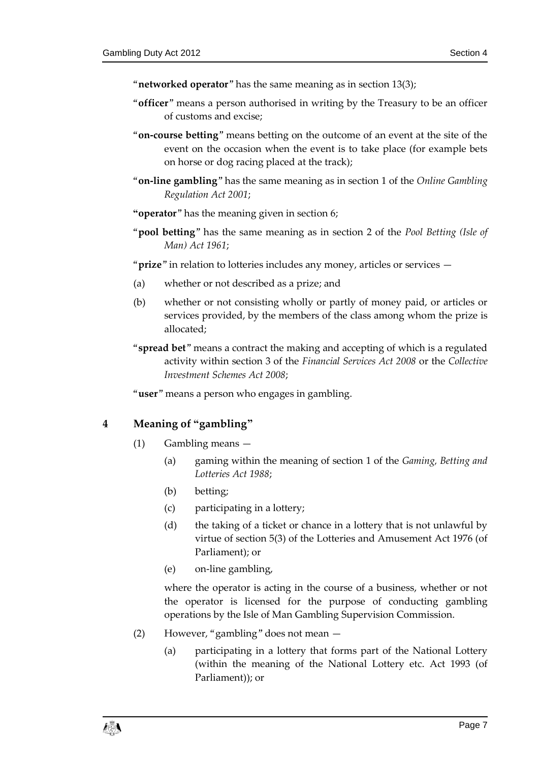- "**networked operator**" has the same meaning as in section [13\(3\);](#page-12-1)
- "**officer**" means a person authorised in writing by the Treasury to be an officer of customs and excise;
- "**on-course betting**" means betting on the outcome of an event at the site of the event on the occasion when the event is to take place (for example bets on horse or dog racing placed at the track);
- "**on-line gambling**" has the same meaning as in section 1 of the *Online Gambling Regulation Act 2001*;
- **"operator**" has the meaning given in section [6;](#page-7-1)
- "**pool betting**" has the same meaning as in section 2 of the *Pool Betting (Isle of Man) Act 1961*;
- "**prize**" in relation to lotteries includes any money, articles or services —
- (a) whether or not described as a prize; and
- (b) whether or not consisting wholly or partly of money paid, or articles or services provided, by the members of the class among whom the prize is allocated;
- "**spread bet**" means a contract the making and accepting of which is a regulated activity within section 3 of the *Financial Services Act 2008* or the *Collective Investment Schemes Act 2008*;

"**user**" means a person who engages in gambling.

#### <span id="page-6-0"></span>**4 Meaning of "gambling"**

- (1) Gambling means
	- (a) gaming within the meaning of section 1 of the *Gaming, Betting and Lotteries Act 1988*;
	- (b) betting;
	- (c) participating in a lottery;
	- (d) the taking of a ticket or chance in a lottery that is not unlawful by virtue of section 5(3) of the Lotteries and Amusement Act 1976 (of Parliament); or
	- (e) on-line gambling,

where the operator is acting in the course of a business, whether or not the operator is licensed for the purpose of conducting gambling operations by the Isle of Man Gambling Supervision Commission.

- (2) However, "gambling" does not mean
	- (a) participating in a lottery that forms part of the National Lottery (within the meaning of the National Lottery etc. Act 1993 (of Parliament)); or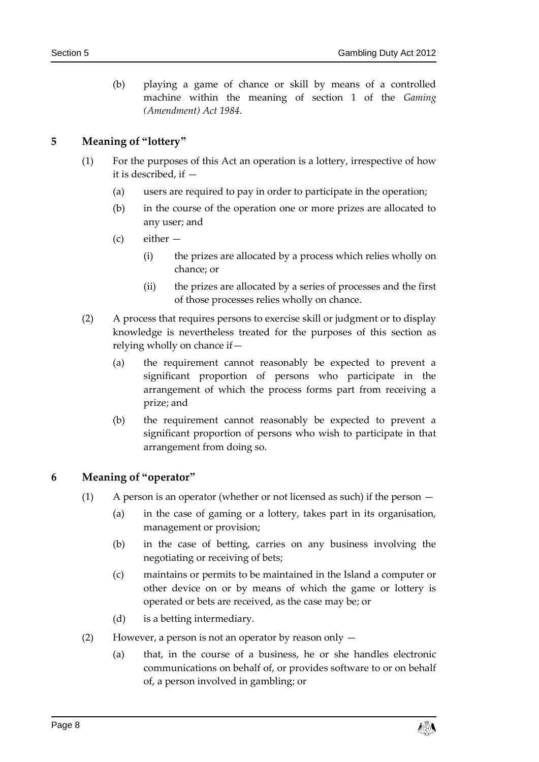(b) playing a game of chance or skill by means of a controlled machine within the meaning of section 1 of the *Gaming (Amendment) Act 1984*.

#### <span id="page-7-0"></span>**5 Meaning of "lottery"**

- (1) For the purposes of this Act an operation is a lottery, irrespective of how it is described, if —
	- (a) users are required to pay in order to participate in the operation;
	- (b) in the course of the operation one or more prizes are allocated to any user; and
	- (c) either
		- (i) the prizes are allocated by a process which relies wholly on chance; or
		- (ii) the prizes are allocated by a series of processes and the first of those processes relies wholly on chance.
- (2) A process that requires persons to exercise skill or judgment or to display knowledge is nevertheless treated for the purposes of this section as relying wholly on chance if—
	- (a) the requirement cannot reasonably be expected to prevent a significant proportion of persons who participate in the arrangement of which the process forms part from receiving a prize; and
	- (b) the requirement cannot reasonably be expected to prevent a significant proportion of persons who wish to participate in that arrangement from doing so.

#### <span id="page-7-1"></span>**6 Meaning of "operator"**

- (1) A person is an operator (whether or not licensed as such) if the person
	- (a) in the case of gaming or a lottery, takes part in its organisation, management or provision;
	- (b) in the case of betting, carries on any business involving the negotiating or receiving of bets;
	- (c) maintains or permits to be maintained in the Island a computer or other device on or by means of which the game or lottery is operated or bets are received, as the case may be; or
	- (d) is a betting intermediary.
- (2) However, a person is not an operator by reason only
	- (a) that, in the course of a business, he or she handles electronic communications on behalf of, or provides software to or on behalf of, a person involved in gambling; or

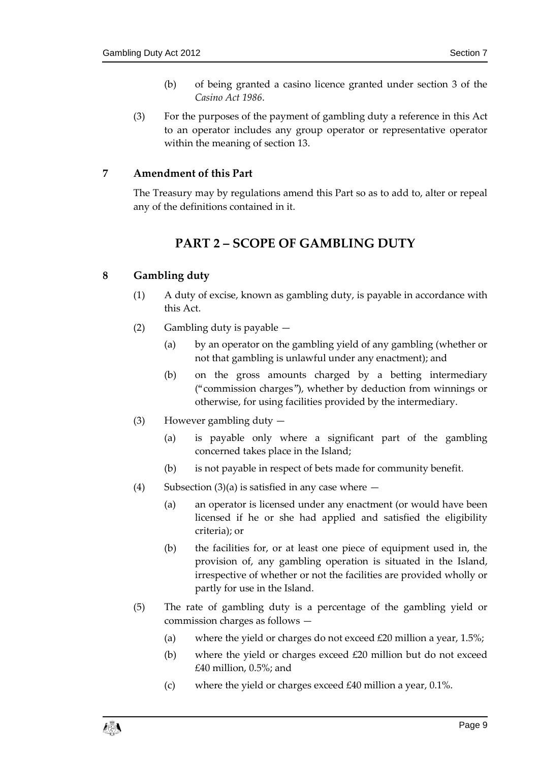- (b) of being granted a casino licence granted under section 3 of the *Casino Act 1986*.
- (3) For the purposes of the payment of gambling duty a reference in this Act to an operator includes any group operator or representative operator within the meaning of sectio[n 13.](#page-12-0)

#### <span id="page-8-0"></span>**7 Amendment of this Part**

<span id="page-8-1"></span>The Treasury may by regulations amend this Part so as to add to, alter or repeal any of the definitions contained in it.

## **PART 2 – SCOPE OF GAMBLING DUTY**

#### <span id="page-8-2"></span>**8 Gambling duty**

- (1) A duty of excise, known as gambling duty, is payable in accordance with this Act.
- (2) Gambling duty is payable
	- (a) by an operator on the gambling yield of any gambling (whether or not that gambling is unlawful under any enactment); and
	- (b) on the gross amounts charged by a betting intermediary ("commission charges"), whether by deduction from winnings or otherwise, for using facilities provided by the intermediary.
- <span id="page-8-3"></span>(3) However gambling duty —
	- (a) is payable only where a significant part of the gambling concerned takes place in the Island;
	- (b) is not payable in respect of bets made for community benefit.
- (4) Subsectio[n \(3\)\(](#page-8-3)a) is satisfied in any case where  $-$ 
	- (a) an operator is licensed under any enactment (or would have been licensed if he or she had applied and satisfied the eligibility criteria); or
	- (b) the facilities for, or at least one piece of equipment used in, the provision of, any gambling operation is situated in the Island, irrespective of whether or not the facilities are provided wholly or partly for use in the Island.
- <span id="page-8-4"></span>(5) The rate of gambling duty is a percentage of the gambling yield or commission charges as follows —
	- (a) where the yield or charges do not exceed  $£20$  million a year, 1.5%;
	- (b) where the yield or charges exceed £20 million but do not exceed £40 million, 0.5%; and
	- (c) where the yield or charges exceed  $\text{\pounds}40$  million a year, 0.1%.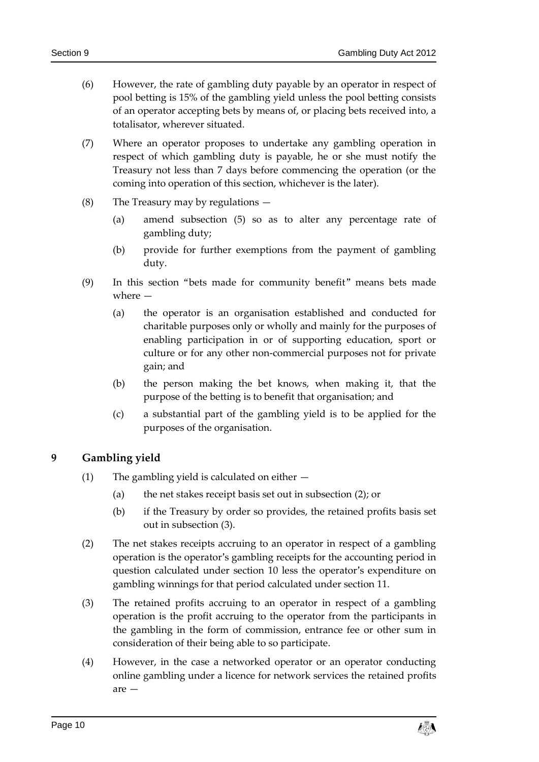- (6) However, the rate of gambling duty payable by an operator in respect of pool betting is 15% of the gambling yield unless the pool betting consists of an operator accepting bets by means of, or placing bets received into, a totalisator, wherever situated.
- (7) Where an operator proposes to undertake any gambling operation in respect of which gambling duty is payable, he or she must notify the Treasury not less than 7 days before commencing the operation (or the coming into operation of this section, whichever is the later).
- (8) The Treasury may by regulations
	- (a) amend subsection [\(5\)](#page-8-4) so as to alter any percentage rate of gambling duty;
	- (b) provide for further exemptions from the payment of gambling duty.
- (9) In this section "bets made for community benefit" means bets made where —
	- (a) the operator is an organisation established and conducted for charitable purposes only or wholly and mainly for the purposes of enabling participation in or of supporting education, sport or culture or for any other non-commercial purposes not for private gain; and
	- (b) the person making the bet knows, when making it, that the purpose of the betting is to benefit that organisation; and
	- (c) a substantial part of the gambling yield is to be applied for the purposes of the organisation.

#### <span id="page-9-0"></span>**9 Gambling yield**

- (1) The gambling yield is calculated on either
	- (a) the net stakes receipt basis set out in subsection [\(2\);](#page-9-1) or
	- (b) if the Treasury by order so provides, the retained profits basis set out in subsection [\(3\).](#page-9-2)
- <span id="page-9-1"></span>(2) The net stakes receipts accruing to an operator in respect of a gambling operation is the operator's gambling receipts for the accounting period in question calculated under section [10](#page-10-0) less the operator's expenditure on gambling winnings for that period calculated under section [11.](#page-10-1)
- <span id="page-9-2"></span>(3) The retained profits accruing to an operator in respect of a gambling operation is the profit accruing to the operator from the participants in the gambling in the form of commission, entrance fee or other sum in consideration of their being able to so participate.
- (4) However, in the case a networked operator or an operator conducting online gambling under a licence for network services the retained profits are —

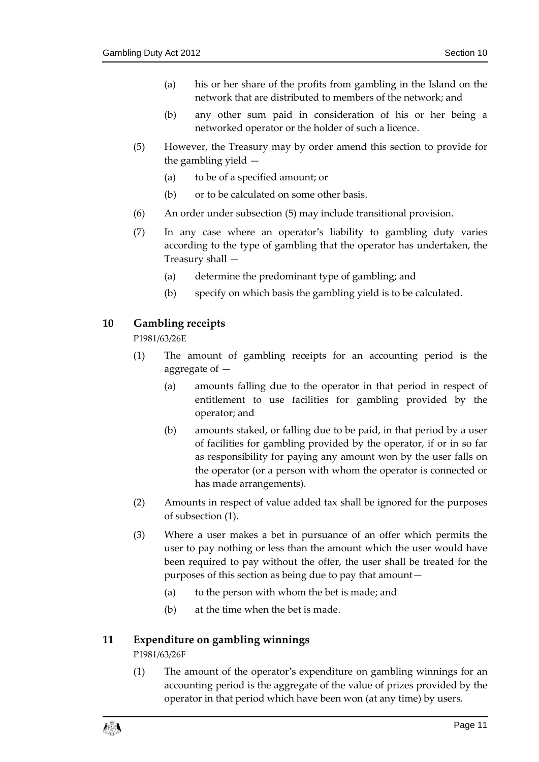- (a) his or her share of the profits from gambling in the Island on the network that are distributed to members of the network; and
- (b) any other sum paid in consideration of his or her being a networked operator or the holder of such a licence.
- <span id="page-10-2"></span>(5) However, the Treasury may by order amend this section to provide for the gambling yield —
	- (a) to be of a specified amount; or
	- (b) or to be calculated on some other basis.
- (6) An order under subsection [\(5\)](#page-10-2) may include transitional provision.
- (7) In any case where an operator's liability to gambling duty varies according to the type of gambling that the operator has undertaken, the Treasury shall —
	- (a) determine the predominant type of gambling; and
	- (b) specify on which basis the gambling yield is to be calculated.

#### <span id="page-10-3"></span><span id="page-10-0"></span>**10 Gambling receipts**

P1981/63/26E

- (1) The amount of gambling receipts for an accounting period is the aggregate of —
	- (a) amounts falling due to the operator in that period in respect of entitlement to use facilities for gambling provided by the operator; and
	- (b) amounts staked, or falling due to be paid, in that period by a user of facilities for gambling provided by the operator, if or in so far as responsibility for paying any amount won by the user falls on the operator (or a person with whom the operator is connected or has made arrangements).
- (2) Amounts in respect of value added tax shall be ignored for the purposes of subsection [\(1\).](#page-10-3)
- (3) Where a user makes a bet in pursuance of an offer which permits the user to pay nothing or less than the amount which the user would have been required to pay without the offer, the user shall be treated for the purposes of this section as being due to pay that amount—
	- (a) to the person with whom the bet is made; and
	- (b) at the time when the bet is made.

#### <span id="page-10-4"></span><span id="page-10-1"></span>**11 Expenditure on gambling winnings**

#### P1981/63/26F

(1) The amount of the operator's expenditure on gambling winnings for an accounting period is the aggregate of the value of prizes provided by the operator in that period which have been won (at any time) by users.

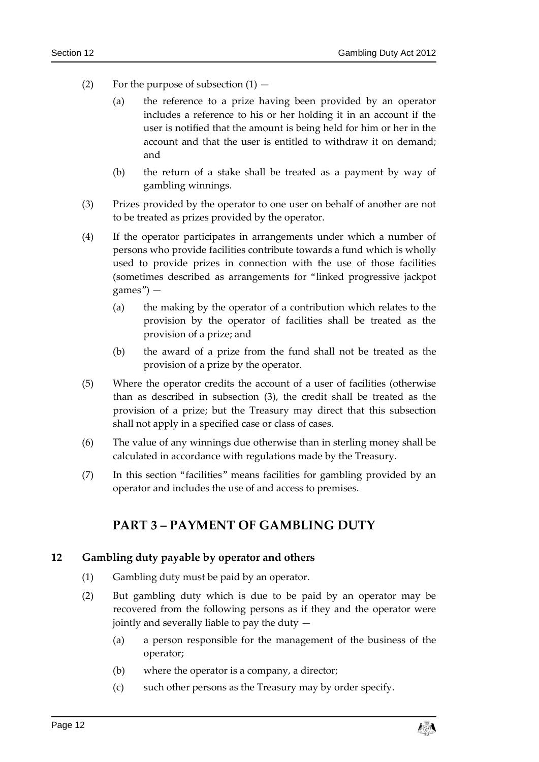- (2) For the purpose of subsection  $(1)$ 
	- (a) the reference to a prize having been provided by an operator includes a reference to his or her holding it in an account if the user is notified that the amount is being held for him or her in the account and that the user is entitled to withdraw it on demand; and
	- (b) the return of a stake shall be treated as a payment by way of gambling winnings.
- <span id="page-11-2"></span>(3) Prizes provided by the operator to one user on behalf of another are not to be treated as prizes provided by the operator.
- (4) If the operator participates in arrangements under which a number of persons who provide facilities contribute towards a fund which is wholly used to provide prizes in connection with the use of those facilities (sometimes described as arrangements for "linked progressive jackpot games") —
	- (a) the making by the operator of a contribution which relates to the provision by the operator of facilities shall be treated as the provision of a prize; and
	- (b) the award of a prize from the fund shall not be treated as the provision of a prize by the operator.
- (5) Where the operator credits the account of a user of facilities (otherwise than as described in subsection [\(3\),](#page-11-2) the credit shall be treated as the provision of a prize; but the Treasury may direct that this subsection shall not apply in a specified case or class of cases.
- (6) The value of any winnings due otherwise than in sterling money shall be calculated in accordance with regulations made by the Treasury.
- <span id="page-11-0"></span>(7) In this section "facilities" means facilities for gambling provided by an operator and includes the use of and access to premises.

## **PART 3 – PAYMENT OF GAMBLING DUTY**

#### <span id="page-11-3"></span><span id="page-11-1"></span>**12 Gambling duty payable by operator and others**

- (1) Gambling duty must be paid by an operator.
- (2) But gambling duty which is due to be paid by an operator may be recovered from the following persons as if they and the operator were jointly and severally liable to pay the duty —
	- (a) a person responsible for the management of the business of the operator;
	- (b) where the operator is a company, a director;
	- (c) such other persons as the Treasury may by order specify.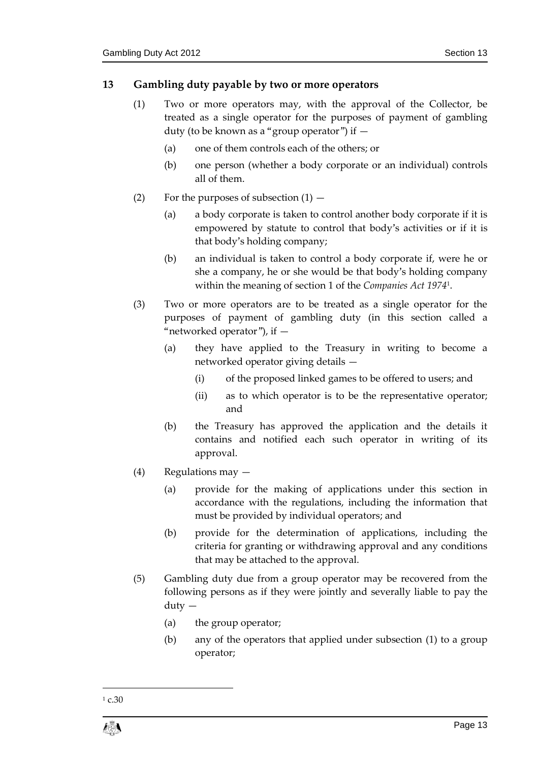### <span id="page-12-2"></span><span id="page-12-0"></span>**13 Gambling duty payable by two or more operators**

- (1) Two or more operators may, with the approval of the Collector, be treated as a single operator for the purposes of payment of gambling duty (to be known as a "group operator") if —
	- (a) one of them controls each of the others; or
	- (b) one person (whether a body corporate or an individual) controls all of them.
- (2) For the purposes of subsection  $(1)$ 
	- (a) a body corporate is taken to control another body corporate if it is empowered by statute to control that body's activities or if it is that body's holding company;
	- (b) an individual is taken to control a body corporate if, were he or she a company, he or she would be that body's holding company within the meaning of section 1 of the *Companies Act 1974*<sup>1</sup> .
- <span id="page-12-1"></span>(3) Two or more operators are to be treated as a single operator for the purposes of payment of gambling duty (in this section called a "networked operator"), if  $-$ 
	- (a) they have applied to the Treasury in writing to become a networked operator giving details —
		- (i) of the proposed linked games to be offered to users; and
		- (ii) as to which operator is to be the representative operator; and
	- (b) the Treasury has approved the application and the details it contains and notified each such operator in writing of its approval.
- (4) Regulations may
	- (a) provide for the making of applications under this section in accordance with the regulations, including the information that must be provided by individual operators; and
	- (b) provide for the determination of applications, including the criteria for granting or withdrawing approval and any conditions that may be attached to the approval.
- (5) Gambling duty due from a group operator may be recovered from the following persons as if they were jointly and severally liable to pay the duty —
	- (a) the group operator;
	- (b) any of the operators that applied under subsection [\(1\)](#page-12-2) to a group operator;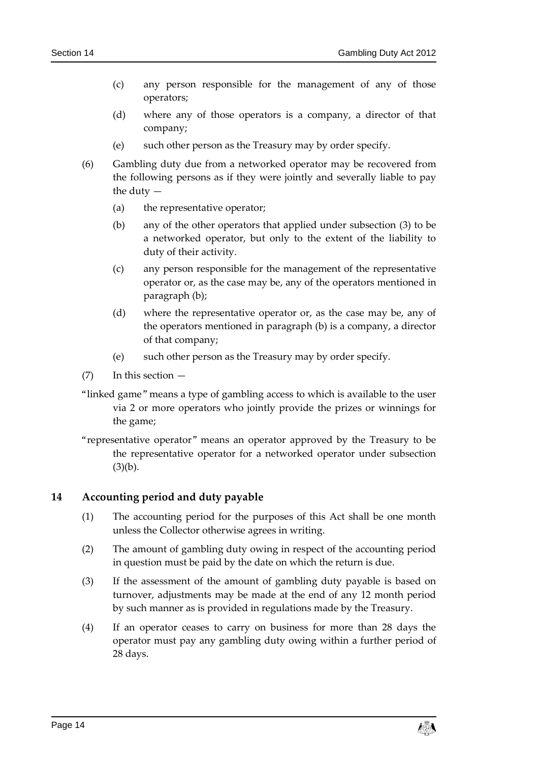- (c) any person responsible for the management of any of those operators;
- (d) where any of those operators is a company, a director of that company;
- (e) such other person as the Treasury may by order specify.
- (6) Gambling duty due from a networked operator may be recovered from the following persons as if they were jointly and severally liable to pay the duty —
	- (a) the representative operator;
	- (b) any of the other operators that applied under subsection [\(3\)](#page-12-1) to be a networked operator, but only to the extent of the liability to duty of their activity.
	- (c) any person responsible for the management of the representative operator or, as the case may be, any of the operators mentioned in paragraph (b);
	- (d) where the representative operator or, as the case may be, any of the operators mentioned in paragraph (b) is a company, a director of that company;
	- (e) such other person as the Treasury may by order specify.
- (7) In this section —
- "linked game" means a type of gambling access to which is available to the user via 2 or more operators who jointly provide the prizes or winnings for the game;
- "representative operator" means an operator approved by the Treasury to be the representative operator for a networked operator under subsection  $(3)(b)$  $(3)(b)$ .

#### <span id="page-13-0"></span>**14 Accounting period and duty payable**

- (1) The accounting period for the purposes of this Act shall be one month unless the Collector otherwise agrees in writing.
- (2) The amount of gambling duty owing in respect of the accounting period in question must be paid by the date on which the return is due.
- (3) If the assessment of the amount of gambling duty payable is based on turnover, adjustments may be made at the end of any 12 month period by such manner as is provided in regulations made by the Treasury.
- (4) If an operator ceases to carry on business for more than 28 days the operator must pay any gambling duty owing within a further period of 28 days.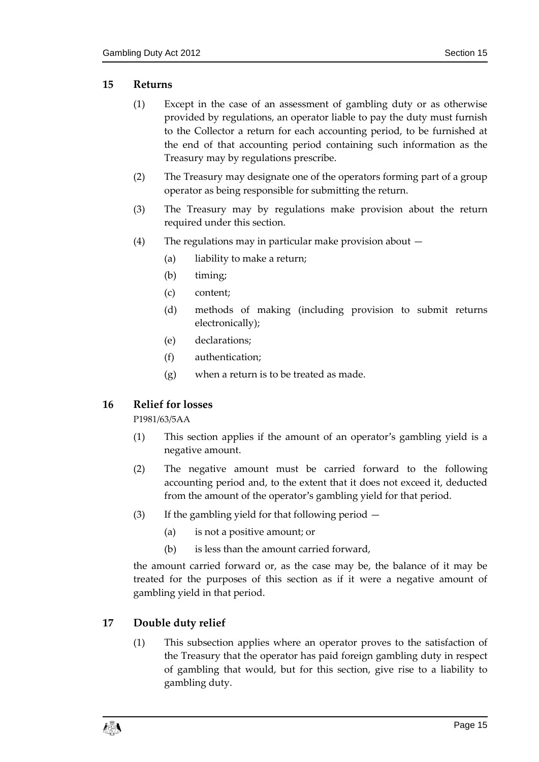#### <span id="page-14-0"></span>**15 Returns**

- (1) Except in the case of an assessment of gambling duty or as otherwise provided by regulations, an operator liable to pay the duty must furnish to the Collector a return for each accounting period, to be furnished at the end of that accounting period containing such information as the Treasury may by regulations prescribe.
- (2) The Treasury may designate one of the operators forming part of a group operator as being responsible for submitting the return.
- (3) The Treasury may by regulations make provision about the return required under this section.
- (4) The regulations may in particular make provision about
	- (a) liability to make a return;
	- (b) timing;
	- (c) content;
	- (d) methods of making (including provision to submit returns electronically);
	- (e) declarations;
	- (f) authentication;
	- (g) when a return is to be treated as made.

#### <span id="page-14-1"></span>**16 Relief for losses**

P1981/63/5AA

- (1) This section applies if the amount of an operator's gambling yield is a negative amount.
- (2) The negative amount must be carried forward to the following accounting period and, to the extent that it does not exceed it, deducted from the amount of the operator's gambling yield for that period.
- (3) If the gambling yield for that following period
	- (a) is not a positive amount; or
	- (b) is less than the amount carried forward,

the amount carried forward or, as the case may be, the balance of it may be treated for the purposes of this section as if it were a negative amount of gambling yield in that period.

#### <span id="page-14-3"></span><span id="page-14-2"></span>**17 Double duty relief**

(1) This subsection applies where an operator proves to the satisfaction of the Treasury that the operator has paid foreign gambling duty in respect of gambling that would, but for this section, give rise to a liability to gambling duty.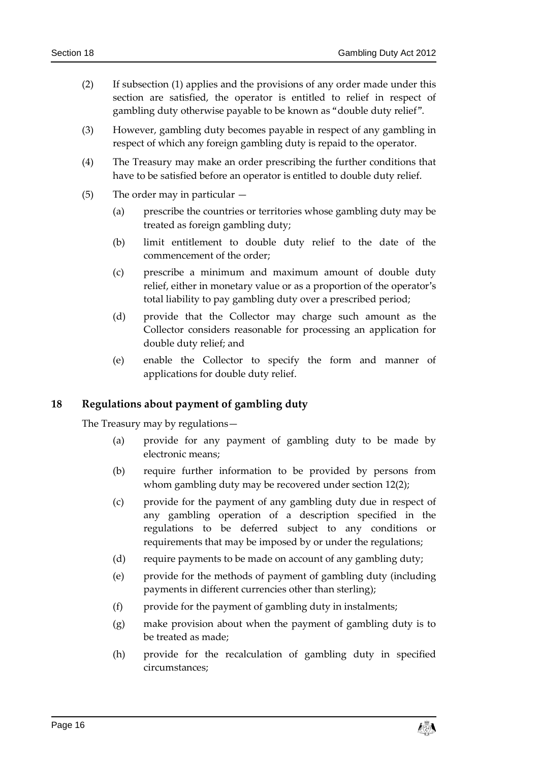- (2) If subsection [\(1\)](#page-14-3) applies and the provisions of any order made under this section are satisfied, the operator is entitled to relief in respect of gambling duty otherwise payable to be known as "double duty relief".
- (3) However, gambling duty becomes payable in respect of any gambling in respect of which any foreign gambling duty is repaid to the operator.
- (4) The Treasury may make an order prescribing the further conditions that have to be satisfied before an operator is entitled to double duty relief.
- (5) The order may in particular
	- (a) prescribe the countries or territories whose gambling duty may be treated as foreign gambling duty;
	- (b) limit entitlement to double duty relief to the date of the commencement of the order;
	- (c) prescribe a minimum and maximum amount of double duty relief, either in monetary value or as a proportion of the operator's total liability to pay gambling duty over a prescribed period;
	- (d) provide that the Collector may charge such amount as the Collector considers reasonable for processing an application for double duty relief; and
	- (e) enable the Collector to specify the form and manner of applications for double duty relief.

#### <span id="page-15-0"></span>**18 Regulations about payment of gambling duty**

The Treasury may by regulations—

- (a) provide for any payment of gambling duty to be made by electronic means;
- (b) require further information to be provided by persons from whom gambling duty may be recovered under section [12\(2\);](#page-11-3)
- (c) provide for the payment of any gambling duty due in respect of any gambling operation of a description specified in the regulations to be deferred subject to any conditions or requirements that may be imposed by or under the regulations;
- (d) require payments to be made on account of any gambling duty;
- (e) provide for the methods of payment of gambling duty (including payments in different currencies other than sterling);
- (f) provide for the payment of gambling duty in instalments;
- (g) make provision about when the payment of gambling duty is to be treated as made;
- (h) provide for the recalculation of gambling duty in specified circumstances;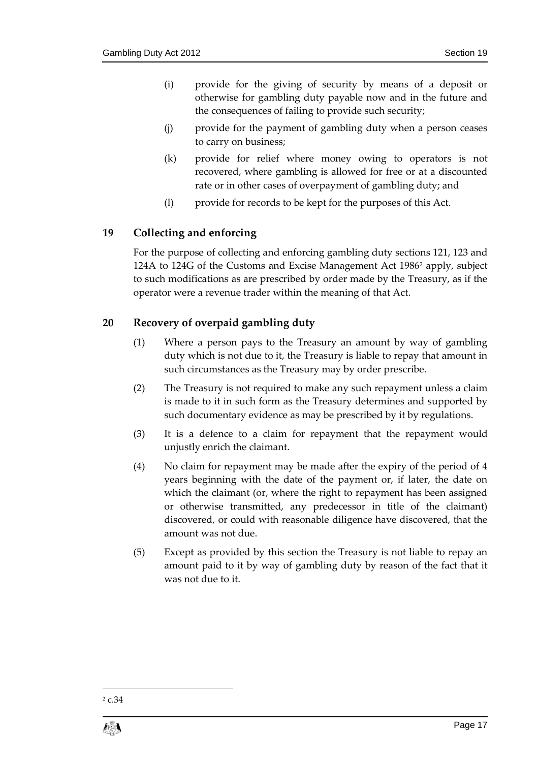- (i) provide for the giving of security by means of a deposit or otherwise for gambling duty payable now and in the future and the consequences of failing to provide such security;
- (j) provide for the payment of gambling duty when a person ceases to carry on business;
- (k) provide for relief where money owing to operators is not recovered, where gambling is allowed for free or at a discounted rate or in other cases of overpayment of gambling duty; and
- (l) provide for records to be kept for the purposes of this Act.

#### <span id="page-16-0"></span>**19 Collecting and enforcing**

For the purpose of collecting and enforcing gambling duty sections 121, 123 and 124A to 124G of the Customs and Excise Management Act 1986<sup>2</sup> apply, subject to such modifications as are prescribed by order made by the Treasury, as if the operator were a revenue trader within the meaning of that Act.

#### <span id="page-16-1"></span>**20 Recovery of overpaid gambling duty**

- (1) Where a person pays to the Treasury an amount by way of gambling duty which is not due to it, the Treasury is liable to repay that amount in such circumstances as the Treasury may by order prescribe.
- (2) The Treasury is not required to make any such repayment unless a claim is made to it in such form as the Treasury determines and supported by such documentary evidence as may be prescribed by it by regulations.
- (3) It is a defence to a claim for repayment that the repayment would unjustly enrich the claimant.
- (4) No claim for repayment may be made after the expiry of the period of 4 years beginning with the date of the payment or, if later, the date on which the claimant (or, where the right to repayment has been assigned or otherwise transmitted, any predecessor in title of the claimant) discovered, or could with reasonable diligence have discovered, that the amount was not due.
- (5) Except as provided by this section the Treasury is not liable to repay an amount paid to it by way of gambling duty by reason of the fact that it was not due to it.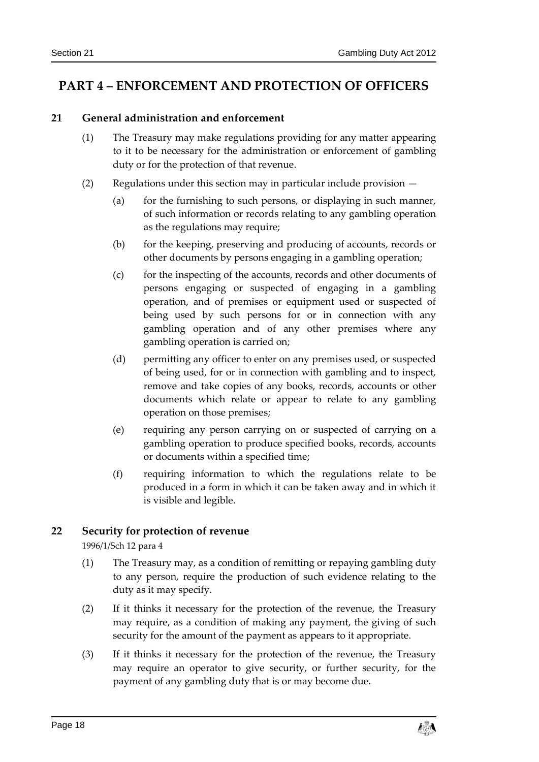## <span id="page-17-1"></span><span id="page-17-0"></span>**PART 4 – ENFORCEMENT AND PROTECTION OF OFFICERS**

#### **21 General administration and enforcement**

- (1) The Treasury may make regulations providing for any matter appearing to it to be necessary for the administration or enforcement of gambling duty or for the protection of that revenue.
- (2) Regulations under this section may in particular include provision
	- (a) for the furnishing to such persons, or displaying in such manner, of such information or records relating to any gambling operation as the regulations may require;
	- (b) for the keeping, preserving and producing of accounts, records or other documents by persons engaging in a gambling operation;
	- (c) for the inspecting of the accounts, records and other documents of persons engaging or suspected of engaging in a gambling operation, and of premises or equipment used or suspected of being used by such persons for or in connection with any gambling operation and of any other premises where any gambling operation is carried on;
	- (d) permitting any officer to enter on any premises used, or suspected of being used, for or in connection with gambling and to inspect, remove and take copies of any books, records, accounts or other documents which relate or appear to relate to any gambling operation on those premises;
	- (e) requiring any person carrying on or suspected of carrying on a gambling operation to produce specified books, records, accounts or documents within a specified time;
	- (f) requiring information to which the regulations relate to be produced in a form in which it can be taken away and in which it is visible and legible.

#### <span id="page-17-2"></span>**22 Security for protection of revenue**

1996/1/Sch 12 para 4

- (1) The Treasury may, as a condition of remitting or repaying gambling duty to any person, require the production of such evidence relating to the duty as it may specify.
- <span id="page-17-3"></span>(2) If it thinks it necessary for the protection of the revenue, the Treasury may require, as a condition of making any payment, the giving of such security for the amount of the payment as appears to it appropriate.
- (3) If it thinks it necessary for the protection of the revenue, the Treasury may require an operator to give security, or further security, for the payment of any gambling duty that is or may become due.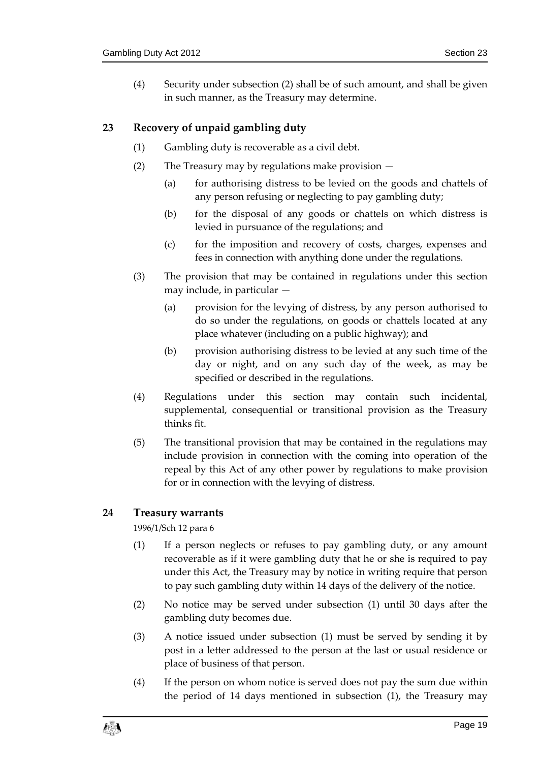(4) Security under subsection [\(2\)](#page-17-3) shall be of such amount, and shall be given in such manner, as the Treasury may determine.

#### <span id="page-18-0"></span>**23 Recovery of unpaid gambling duty**

- (1) Gambling duty is recoverable as a civil debt.
- (2) The Treasury may by regulations make provision
	- (a) for authorising distress to be levied on the goods and chattels of any person refusing or neglecting to pay gambling duty;
	- (b) for the disposal of any goods or chattels on which distress is levied in pursuance of the regulations; and
	- (c) for the imposition and recovery of costs, charges, expenses and fees in connection with anything done under the regulations.
- (3) The provision that may be contained in regulations under this section may include, in particular —
	- (a) provision for the levying of distress, by any person authorised to do so under the regulations, on goods or chattels located at any place whatever (including on a public highway); and
	- (b) provision authorising distress to be levied at any such time of the day or night, and on any such day of the week, as may be specified or described in the regulations.
- (4) Regulations under this section may contain such incidental, supplemental, consequential or transitional provision as the Treasury thinks fit.
- (5) The transitional provision that may be contained in the regulations may include provision in connection with the coming into operation of the repeal by this Act of any other power by regulations to make provision for or in connection with the levying of distress.

#### <span id="page-18-2"></span><span id="page-18-1"></span>**24 Treasury warrants**

1996/1/Sch 12 para 6

- (1) If a person neglects or refuses to pay gambling duty, or any amount recoverable as if it were gambling duty that he or she is required to pay under this Act, the Treasury may by notice in writing require that person to pay such gambling duty within 14 days of the delivery of the notice.
- (2) No notice may be served under subsection [\(1\)](#page-18-2) until 30 days after the gambling duty becomes due.
- <span id="page-18-3"></span>(3) A notice issued under subsection [\(1\)](#page-18-2) must be served by sending it by post in a letter addressed to the person at the last or usual residence or place of business of that person.
- (4) If the person on whom notice is served does not pay the sum due within the period of 14 days mentioned in subsection [\(1\),](#page-18-2) the Treasury may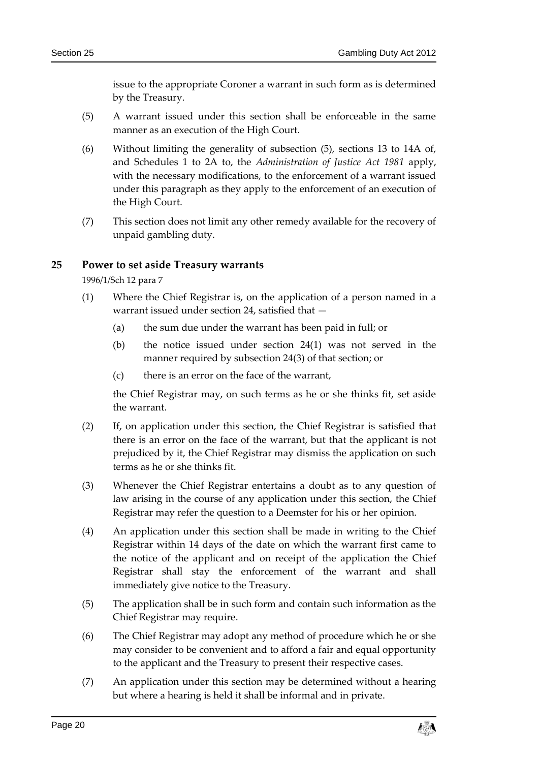issue to the appropriate Coroner a warrant in such form as is determined by the Treasury.

- <span id="page-19-1"></span>(5) A warrant issued under this section shall be enforceable in the same manner as an execution of the High Court.
- (6) Without limiting the generality of subsection [\(5\),](#page-19-1) sections 13 to 14A of, and Schedules 1 to 2A to, the *Administration of Justice Act 1981* apply, with the necessary modifications, to the enforcement of a warrant issued under this paragraph as they apply to the enforcement of an execution of the High Court.
- (7) This section does not limit any other remedy available for the recovery of unpaid gambling duty.

#### <span id="page-19-2"></span><span id="page-19-0"></span>**25 Power to set aside Treasury warrants**

1996/1/Sch 12 para 7

- (1) Where the Chief Registrar is, on the application of a person named in a warrant issued under section [24,](#page-18-1) satisfied that —
	- (a) the sum due under the warrant has been paid in full; or
	- (b) the notice issued under section [24\(1\)](#page-18-2) was not served in the manner required by subsection [24\(3\)](#page-18-3) of that section; or
	- (c) there is an error on the face of the warrant,

the Chief Registrar may, on such terms as he or she thinks fit, set aside the warrant.

- (2) If, on application under this section, the Chief Registrar is satisfied that there is an error on the face of the warrant, but that the applicant is not prejudiced by it, the Chief Registrar may dismiss the application on such terms as he or she thinks fit.
- (3) Whenever the Chief Registrar entertains a doubt as to any question of law arising in the course of any application under this section, the Chief Registrar may refer the question to a Deemster for his or her opinion.
- (4) An application under this section shall be made in writing to the Chief Registrar within 14 days of the date on which the warrant first came to the notice of the applicant and on receipt of the application the Chief Registrar shall stay the enforcement of the warrant and shall immediately give notice to the Treasury.
- (5) The application shall be in such form and contain such information as the Chief Registrar may require.
- (6) The Chief Registrar may adopt any method of procedure which he or she may consider to be convenient and to afford a fair and equal opportunity to the applicant and the Treasury to present their respective cases.
- (7) An application under this section may be determined without a hearing but where a hearing is held it shall be informal and in private.

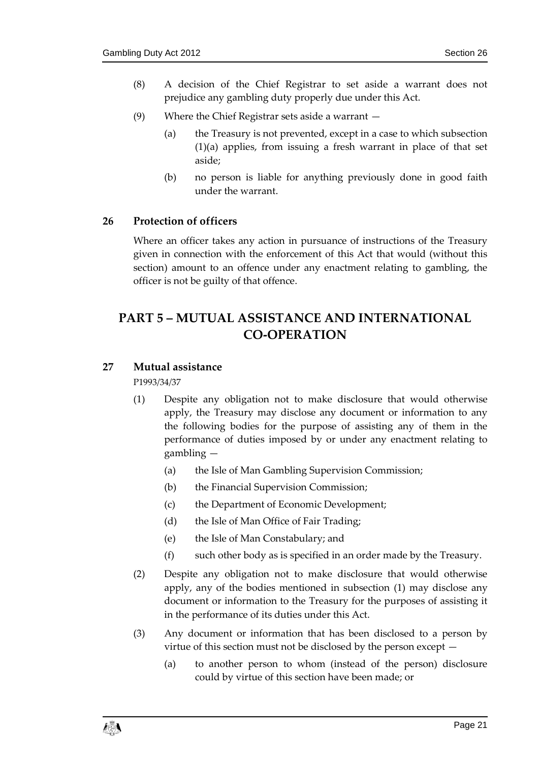- (8) A decision of the Chief Registrar to set aside a warrant does not prejudice any gambling duty properly due under this Act.
- (9) Where the Chief Registrar sets aside a warrant
	- (a) the Treasury is not prevented, except in a case to which subsection [\(1\)\(](#page-19-2)a) applies, from issuing a fresh warrant in place of that set aside;
	- (b) no person is liable for anything previously done in good faith under the warrant.

#### <span id="page-20-0"></span>**26 Protection of officers**

Where an officer takes any action in pursuance of instructions of the Treasury given in connection with the enforcement of this Act that would (without this section) amount to an offence under any enactment relating to gambling, the officer is not be guilty of that offence.

# <span id="page-20-1"></span>**PART 5 – MUTUAL ASSISTANCE AND INTERNATIONAL CO-OPERATION**

#### <span id="page-20-3"></span><span id="page-20-2"></span>**27 Mutual assistance**

P1993/34/37

- (1) Despite any obligation not to make disclosure that would otherwise apply, the Treasury may disclose any document or information to any the following bodies for the purpose of assisting any of them in the performance of duties imposed by or under any enactment relating to gambling —
	- (a) the Isle of Man Gambling Supervision Commission;
	- (b) the Financial Supervision Commission;
	- (c) the Department of Economic Development;
	- (d) the Isle of Man Office of Fair Trading;
	- (e) the Isle of Man Constabulary; and
	- (f) such other body as is specified in an order made by the Treasury.
- (2) Despite any obligation not to make disclosure that would otherwise apply, any of the bodies mentioned in subsection [\(1\)](#page-20-3) may disclose any document or information to the Treasury for the purposes of assisting it in the performance of its duties under this Act.
- (3) Any document or information that has been disclosed to a person by virtue of this section must not be disclosed by the person except —
	- (a) to another person to whom (instead of the person) disclosure could by virtue of this section have been made; or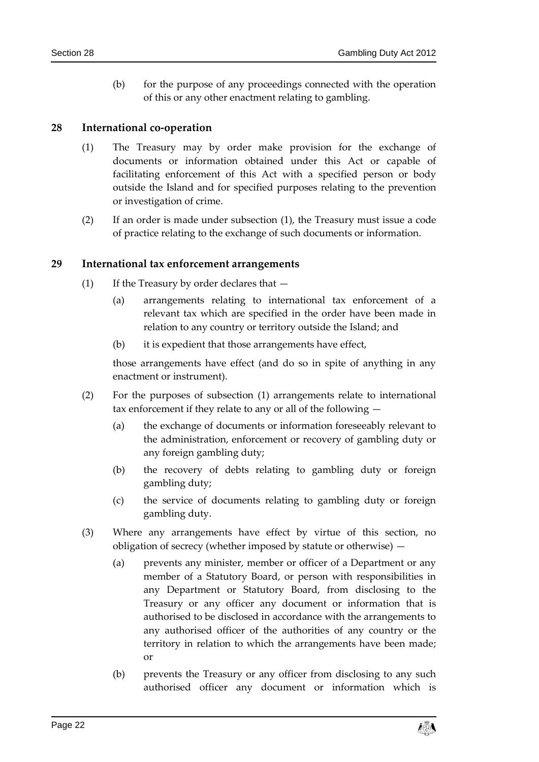(b) for the purpose of any proceedings connected with the operation of this or any other enactment relating to gambling.

#### <span id="page-21-2"></span><span id="page-21-0"></span>**28 International co-operation**

- (1) The Treasury may by order make provision for the exchange of documents or information obtained under this Act or capable of facilitating enforcement of this Act with a specified person or body outside the Island and for specified purposes relating to the prevention or investigation of crime.
- (2) If an order is made under subsection [\(1\),](#page-21-2) the Treasury must issue a code of practice relating to the exchange of such documents or information.

#### <span id="page-21-3"></span><span id="page-21-1"></span>**29 International tax enforcement arrangements**

- (1) If the Treasury by order declares that
	- (a) arrangements relating to international tax enforcement of a relevant tax which are specified in the order have been made in relation to any country or territory outside the Island; and
	- (b) it is expedient that those arrangements have effect,

those arrangements have effect (and do so in spite of anything in any enactment or instrument).

- (2) For the purposes of subsection [\(1\)](#page-21-3) arrangements relate to international tax enforcement if they relate to any or all of the following —
	- (a) the exchange of documents or information foreseeably relevant to the administration, enforcement or recovery of gambling duty or any foreign gambling duty;
	- (b) the recovery of debts relating to gambling duty or foreign gambling duty;
	- (c) the service of documents relating to gambling duty or foreign gambling duty.
- (3) Where any arrangements have effect by virtue of this section, no obligation of secrecy (whether imposed by statute or otherwise) —
	- (a) prevents any minister, member or officer of a Department or any member of a Statutory Board, or person with responsibilities in any Department or Statutory Board, from disclosing to the Treasury or any officer any document or information that is authorised to be disclosed in accordance with the arrangements to any authorised officer of the authorities of any country or the territory in relation to which the arrangements have been made; or
	- (b) prevents the Treasury or any officer from disclosing to any such authorised officer any document or information which is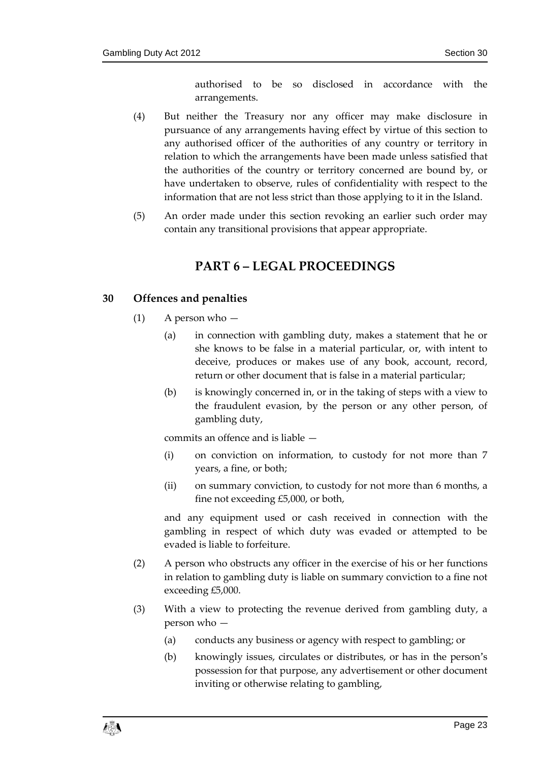authorised to be so disclosed in accordance with the arrangements.

- (4) But neither the Treasury nor any officer may make disclosure in pursuance of any arrangements having effect by virtue of this section to any authorised officer of the authorities of any country or territory in relation to which the arrangements have been made unless satisfied that the authorities of the country or territory concerned are bound by, or have undertaken to observe, rules of confidentiality with respect to the information that are not less strict than those applying to it in the Island.
- <span id="page-22-0"></span>(5) An order made under this section revoking an earlier such order may contain any transitional provisions that appear appropriate.

## **PART 6 – LEGAL PROCEEDINGS**

#### <span id="page-22-1"></span>**30 Offences and penalties**

- $(1)$  A person who  $-$ 
	- (a) in connection with gambling duty, makes a statement that he or she knows to be false in a material particular, or, with intent to deceive, produces or makes use of any book, account, record, return or other document that is false in a material particular;
	- (b) is knowingly concerned in, or in the taking of steps with a view to the fraudulent evasion, by the person or any other person, of gambling duty,

commits an offence and is liable —

- (i) on conviction on information, to custody for not more than 7 years, a fine, or both;
- (ii) on summary conviction, to custody for not more than 6 months, a fine not exceeding £5,000, or both,

and any equipment used or cash received in connection with the gambling in respect of which duty was evaded or attempted to be evaded is liable to forfeiture.

- (2) A person who obstructs any officer in the exercise of his or her functions in relation to gambling duty is liable on summary conviction to a fine not exceeding £5,000.
- <span id="page-22-2"></span>(3) With a view to protecting the revenue derived from gambling duty, a person who —
	- (a) conducts any business or agency with respect to gambling; or
	- (b) knowingly issues, circulates or distributes, or has in the person's possession for that purpose, any advertisement or other document inviting or otherwise relating to gambling,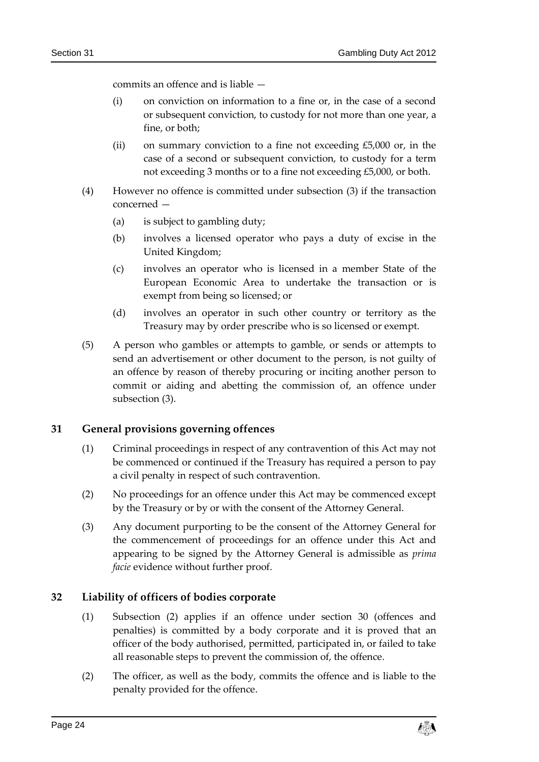commits an offence and is liable —

- (i) on conviction on information to a fine or, in the case of a second or subsequent conviction, to custody for not more than one year, a fine, or both;
- (ii) on summary conviction to a fine not exceeding  $£5,000$  or, in the case of a second or subsequent conviction, to custody for a term not exceeding 3 months or to a fine not exceeding £5,000, or both.
- (4) However no offence is committed under subsection [\(3\)](#page-22-2) if the transaction concerned —
	- (a) is subject to gambling duty;
	- (b) involves a licensed operator who pays a duty of excise in the United Kingdom;
	- (c) involves an operator who is licensed in a member State of the European Economic Area to undertake the transaction or is exempt from being so licensed; or
	- (d) involves an operator in such other country or territory as the Treasury may by order prescribe who is so licensed or exempt.
- (5) A person who gambles or attempts to gamble, or sends or attempts to send an advertisement or other document to the person, is not guilty of an offence by reason of thereby procuring or inciting another person to commit or aiding and abetting the commission of, an offence under subsection [\(3\).](#page-22-2)

#### <span id="page-23-0"></span>**31 General provisions governing offences**

- (1) Criminal proceedings in respect of any contravention of this Act may not be commenced or continued if the Treasury has required a person to pay a civil penalty in respect of such contravention.
- (2) No proceedings for an offence under this Act may be commenced except by the Treasury or by or with the consent of the Attorney General.
- (3) Any document purporting to be the consent of the Attorney General for the commencement of proceedings for an offence under this Act and appearing to be signed by the Attorney General is admissible as *prima facie* evidence without further proof.

#### <span id="page-23-1"></span>**32 Liability of officers of bodies corporate**

- (1) Subsection [\(2\)](#page-23-2) applies if an offence under section [30](#page-22-1) (offences and penalties) is committed by a body corporate and it is proved that an officer of the body authorised, permitted, participated in, or failed to take all reasonable steps to prevent the commission of, the offence.
- <span id="page-23-2"></span>(2) The officer, as well as the body, commits the offence and is liable to the penalty provided for the offence.

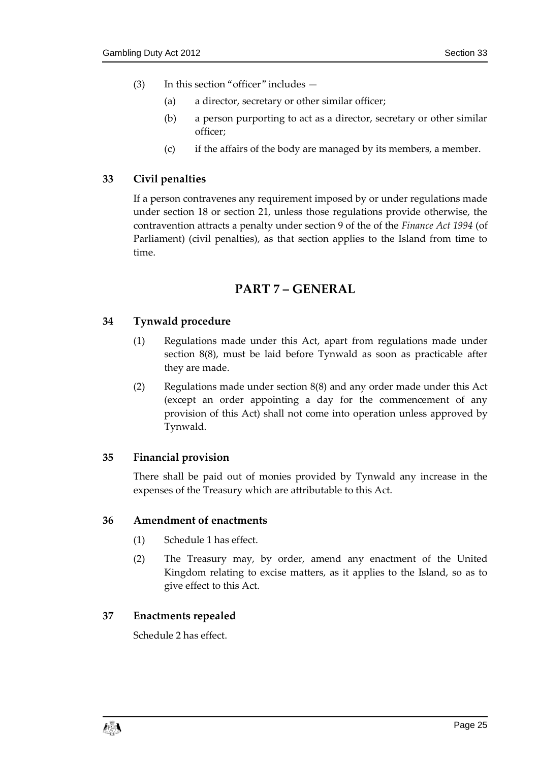- (3) In this section "officer" includes
	- (a) a director, secretary or other similar officer;
	- (b) a person purporting to act as a director, secretary or other similar officer;
	- (c) if the affairs of the body are managed by its members, a member.

#### <span id="page-24-0"></span>**33 Civil penalties**

If a person contravenes any requirement imposed by or under regulations made under section 18 or section 21, unless those regulations provide otherwise, the contravention attracts a penalty under section 9 of the of the *Finance Act* 1994 (of Parliament) (civil penalties), as that section applies to the Island from time to time.

## **PART 7 – GENERAL**

#### <span id="page-24-2"></span><span id="page-24-1"></span>**34 Tynwald procedure**

- (1) Regulations made under this Act, apart from regulations made under section 8(8), must be laid before Tynwald as soon as practicable after they are made.
- (2) Regulations made under section 8(8) and any order made under this Act (except an order appointing a day for the commencement of any provision of this Act) shall not come into operation unless approved by Tynwald.

#### <span id="page-24-3"></span>**35 Financial provision**

There shall be paid out of monies provided by Tynwald any increase in the expenses of the Treasury which are attributable to this Act.

#### <span id="page-24-4"></span>**36 Amendment of enactments**

- (1) Schedule 1 has effect.
- (2) The Treasury may, by order, amend any enactment of the United Kingdom relating to excise matters, as it applies to the Island, so as to give effect to this Act.

#### <span id="page-24-5"></span>**37 Enactments repealed**

Schedule 2 has effect.

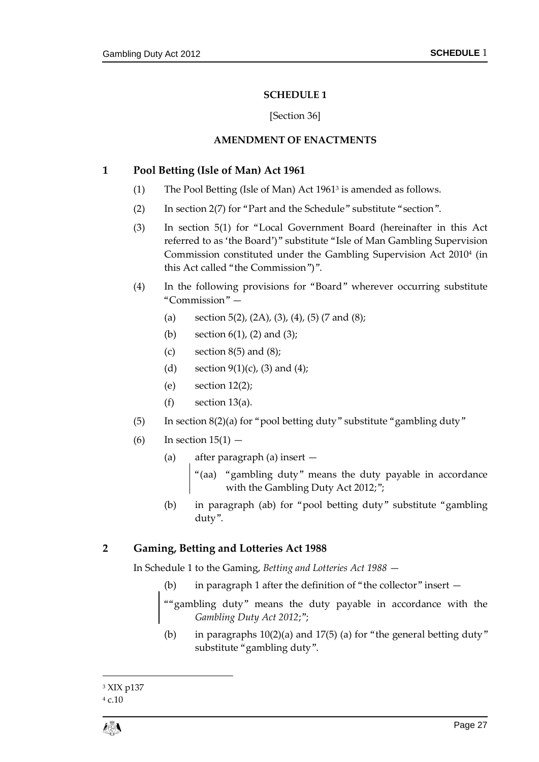#### **SCHEDULE 1**

#### [Section [36\]](#page-24-4)

#### **AMENDMENT OF ENACTMENTS**

#### <span id="page-26-1"></span><span id="page-26-0"></span>**1 Pool Betting (Isle of Man) Act 1961**

- (1) The Pool Betting (Isle of Man) Act 1961<sup>3</sup> is amended as follows.
- (2) In section 2(7) for "Part and the Schedule" substitute "section".
- (3) In section 5(1) for "Local Government Board (hereinafter in this Act referred to as 'the Board')" substitute "Isle of Man Gambling Supervision Commission constituted under the Gambling Supervision Act 2010<sup>4</sup> (in this Act called "the Commission")".
- (4) In the following provisions for "Board" wherever occurring substitute "Commission" —
	- (a) section  $5(2)$ ,  $(2A)$ ,  $(3)$ ,  $(4)$ ,  $(5)$   $(7 \text{ and } (8)$ ;
	- (b) section  $6(1)$ ,  $(2)$  and  $(3)$ ;
	- (c) section  $8(5)$  and  $(8)$ ;
	- (d) section  $9(1)(c)$ , (3) and (4);
	- (e) section  $12(2)$ ;
	- $(f)$  section 13(a).
- (5) In section  $8(2)(a)$  for "pool betting duty" substitute "gambling duty"
- (6) In section  $15(1)$ 
	- (a) after paragraph (a) insert
		- "(aa) "gambling duty" means the duty payable in accordance with the Gambling Duty Act 2012;";
	- (b) in paragraph (ab) for "pool betting duty" substitute "gambling duty".

#### **2 Gaming, Betting and Lotteries Act 1988**

In Schedule 1 to the Gaming, *Betting and Lotteries Act 1988* —

- (b) in paragraph 1 after the definition of "the collector" insert —
- ""gambling duty" means the duty payable in accordance with the *Gambling Duty Act 2012*;";
- (b) in paragraphs  $10(2)(a)$  and  $17(5)$  (a) for "the general betting duty" substitute "gambling duty".

 $\overline{a}$ 

<sup>3</sup> XIX p137

<sup>4</sup> c.10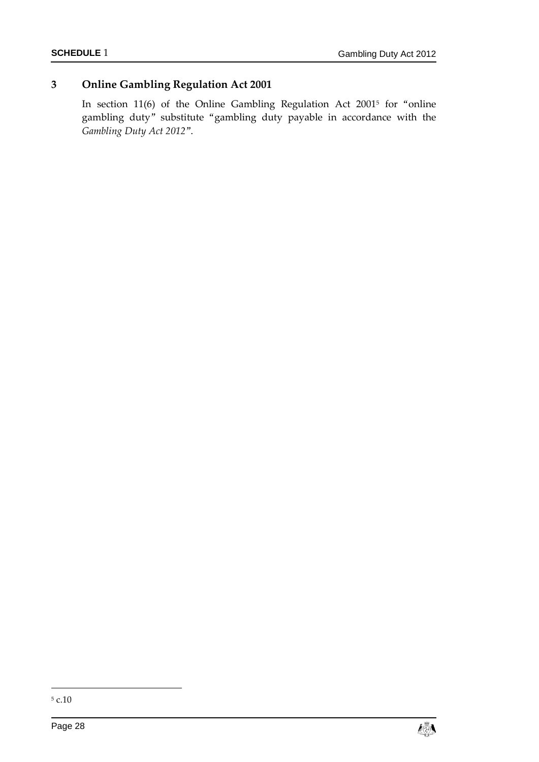## **3 Online Gambling Regulation Act 2001**

In section 11(6) of the Online Gambling Regulation Act 2001<sup>5</sup> for "online gambling duty" substitute "gambling duty payable in accordance with the *Gambling Duty Act 2012*".

-



 $^{\rm 5}$  c.10